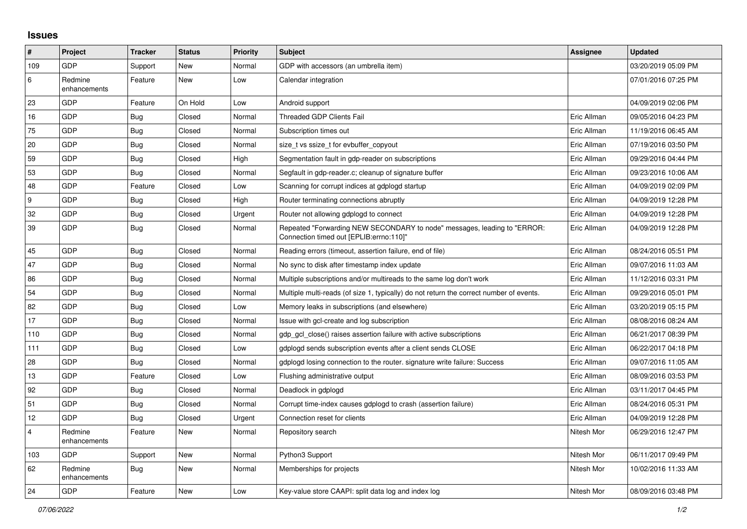## **Issues**

| #              | Project                 | <b>Tracker</b> | <b>Status</b> | <b>Priority</b> | <b>Subject</b>                                                                                                      | Assignee    | <b>Updated</b>      |
|----------------|-------------------------|----------------|---------------|-----------------|---------------------------------------------------------------------------------------------------------------------|-------------|---------------------|
| 109            | GDP                     | Support        | New           | Normal          | GDP with accessors (an umbrella item)                                                                               |             | 03/20/2019 05:09 PM |
| 6              | Redmine<br>enhancements | Feature        | <b>New</b>    | Low             | Calendar integration                                                                                                |             | 07/01/2016 07:25 PM |
| 23             | GDP                     | Feature        | On Hold       | Low             | Android support                                                                                                     |             | 04/09/2019 02:06 PM |
| 16             | <b>GDP</b>              | <b>Bug</b>     | Closed        | Normal          | <b>Threaded GDP Clients Fail</b>                                                                                    | Eric Allman | 09/05/2016 04:23 PM |
| 75             | GDP                     | <b>Bug</b>     | Closed        | Normal          | Subscription times out                                                                                              | Eric Allman | 11/19/2016 06:45 AM |
| 20             | <b>GDP</b>              | <b>Bug</b>     | Closed        | Normal          | size_t vs ssize_t for evbuffer_copyout                                                                              | Eric Allman | 07/19/2016 03:50 PM |
| 59             | GDP                     | <b>Bug</b>     | Closed        | High            | Segmentation fault in gdp-reader on subscriptions                                                                   | Eric Allman | 09/29/2016 04:44 PM |
| 53             | GDP                     | <b>Bug</b>     | Closed        | Normal          | Segfault in gdp-reader.c; cleanup of signature buffer                                                               | Eric Allman | 09/23/2016 10:06 AM |
| 48             | <b>GDP</b>              | Feature        | Closed        | Low             | Scanning for corrupt indices at gdplogd startup                                                                     | Eric Allman | 04/09/2019 02:09 PM |
| 9              | GDP                     | <b>Bug</b>     | Closed        | High            | Router terminating connections abruptly                                                                             | Eric Allman | 04/09/2019 12:28 PM |
| 32             | GDP                     | <b>Bug</b>     | Closed        | Urgent          | Router not allowing gdplogd to connect                                                                              | Eric Allman | 04/09/2019 12:28 PM |
| 39             | <b>GDP</b>              | <b>Bug</b>     | Closed        | Normal          | Repeated "Forwarding NEW SECONDARY to node" messages, leading to "ERROR:<br>Connection timed out [EPLIB:errno:110]" | Eric Allman | 04/09/2019 12:28 PM |
| 45             | GDP                     | Bug            | Closed        | Normal          | Reading errors (timeout, assertion failure, end of file)                                                            | Eric Allman | 08/24/2016 05:51 PM |
| 47             | GDP                     | Bug            | Closed        | Normal          | No sync to disk after timestamp index update                                                                        | Eric Allman | 09/07/2016 11:03 AM |
| 86             | GDP                     | <b>Bug</b>     | Closed        | Normal          | Multiple subscriptions and/or multireads to the same log don't work                                                 | Eric Allman | 11/12/2016 03:31 PM |
| 54             | <b>GDP</b>              | <b>Bug</b>     | Closed        | Normal          | Multiple multi-reads (of size 1, typically) do not return the correct number of events.                             | Eric Allman | 09/29/2016 05:01 PM |
| 82             | GDP                     | Bug            | Closed        | Low             | Memory leaks in subscriptions (and elsewhere)                                                                       | Eric Allman | 03/20/2019 05:15 PM |
| 17             | GDP                     | Bug            | Closed        | Normal          | Issue with gcl-create and log subscription                                                                          | Eric Allman | 08/08/2016 08:24 AM |
| 110            | GDP                     | Bug            | Closed        | Normal          | gdp gcl close() raises assertion failure with active subscriptions                                                  | Eric Allman | 06/21/2017 08:39 PM |
| 111            | GDP                     | Bug            | Closed        | Low             | gdplogd sends subscription events after a client sends CLOSE                                                        | Eric Allman | 06/22/2017 04:18 PM |
| 28             | <b>GDP</b>              | <b>Bug</b>     | Closed        | Normal          | gdplogd losing connection to the router, signature write failure: Success                                           | Eric Allman | 09/07/2016 11:05 AM |
| 13             | GDP                     | Feature        | Closed        | Low             | Flushing administrative output                                                                                      | Eric Allman | 08/09/2016 03:53 PM |
| 92             | GDP                     | <b>Bug</b>     | Closed        | Normal          | Deadlock in gdplogd                                                                                                 | Eric Allman | 03/11/2017 04:45 PM |
| 51             | GDP                     | Bug            | Closed        | Normal          | Corrupt time-index causes gdplogd to crash (assertion failure)                                                      | Eric Allman | 08/24/2016 05:31 PM |
| 12             | GDP                     | Bug            | Closed        | Urgent          | Connection reset for clients                                                                                        | Eric Allman | 04/09/2019 12:28 PM |
| $\overline{4}$ | Redmine<br>enhancements | Feature        | <b>New</b>    | Normal          | Repository search                                                                                                   | Nitesh Mor  | 06/29/2016 12:47 PM |
| 103            | <b>GDP</b>              | Support        | <b>New</b>    | Normal          | Python3 Support                                                                                                     | Nitesh Mor  | 06/11/2017 09:49 PM |
| 62             | Redmine<br>enhancements | Bug            | New           | Normal          | Memberships for projects                                                                                            | Nitesh Mor  | 10/02/2016 11:33 AM |
| 24             | GDP                     | Feature        | New           | Low             | Key-value store CAAPI: split data log and index log                                                                 | Nitesh Mor  | 08/09/2016 03:48 PM |